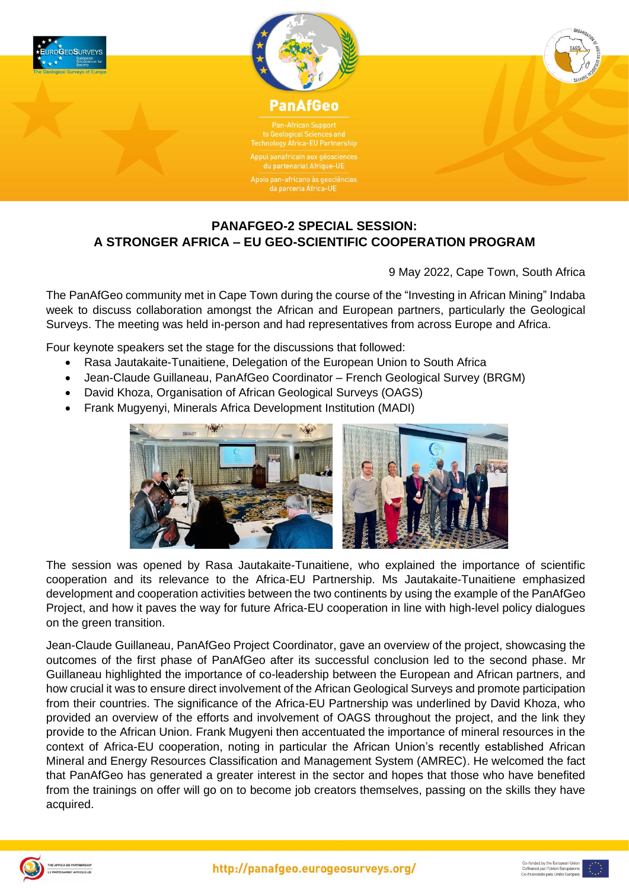



**Technology Africa-EU Partnership** du partenariat Afrique-UI

Apoio pan-africano às geociências<br>da parceria África-UE

## **PANAFGEO-2 SPECIAL SESSION: A STRONGER AFRICA – EU GEO-SCIENTIFIC COOPERATION PROGRAM**

9 May 2022, Cape Town, South Africa

The PanAfGeo community met in Cape Town during the course of the "Investing in African Mining" Indaba week to discuss collaboration amongst the African and European partners, particularly the Geological Surveys. The meeting was held in-person and had representatives from across Europe and Africa.

Four keynote speakers set the stage for the discussions that followed:

- Rasa Jautakaite-Tunaitiene, Delegation of the European Union to South Africa
- Jean-Claude Guillaneau, PanAfGeo Coordinator French Geological Survey (BRGM)
- David Khoza, Organisation of African Geological Surveys (OAGS)
- Frank Mugyenyi, Minerals Africa Development Institution (MADI)



The session was opened by Rasa Jautakaite-Tunaitiene, who explained the importance of scientific cooperation and its relevance to the Africa-EU Partnership. Ms Jautakaite-Tunaitiene emphasized development and cooperation activities between the two continents by using the example of the PanAfGeo Project, and how it paves the way for future Africa-EU cooperation in line with high-level policy dialogues on the green transition.

Jean-Claude Guillaneau, PanAfGeo Project Coordinator, gave an overview of the project, showcasing the outcomes of the first phase of PanAfGeo after its successful conclusion led to the second phase. Mr Guillaneau highlighted the importance of co-leadership between the European and African partners, and how crucial it was to ensure direct involvement of the African Geological Surveys and promote participation from their countries. The significance of the Africa-EU Partnership was underlined by David Khoza, who provided an overview of the efforts and involvement of OAGS throughout the project, and the link they provide to the African Union. Frank Mugyeni then accentuated the importance of mineral resources in the context of Africa-EU cooperation, noting in particular the African Union's recently established African Mineral and Energy Resources Classification and Management System (AMREC). He welcomed the fact that PanAfGeo has generated a greater interest in the sector and hopes that those who have benefited from the trainings on offer will go on to become job creators themselves, passing on the skills they have acquired.